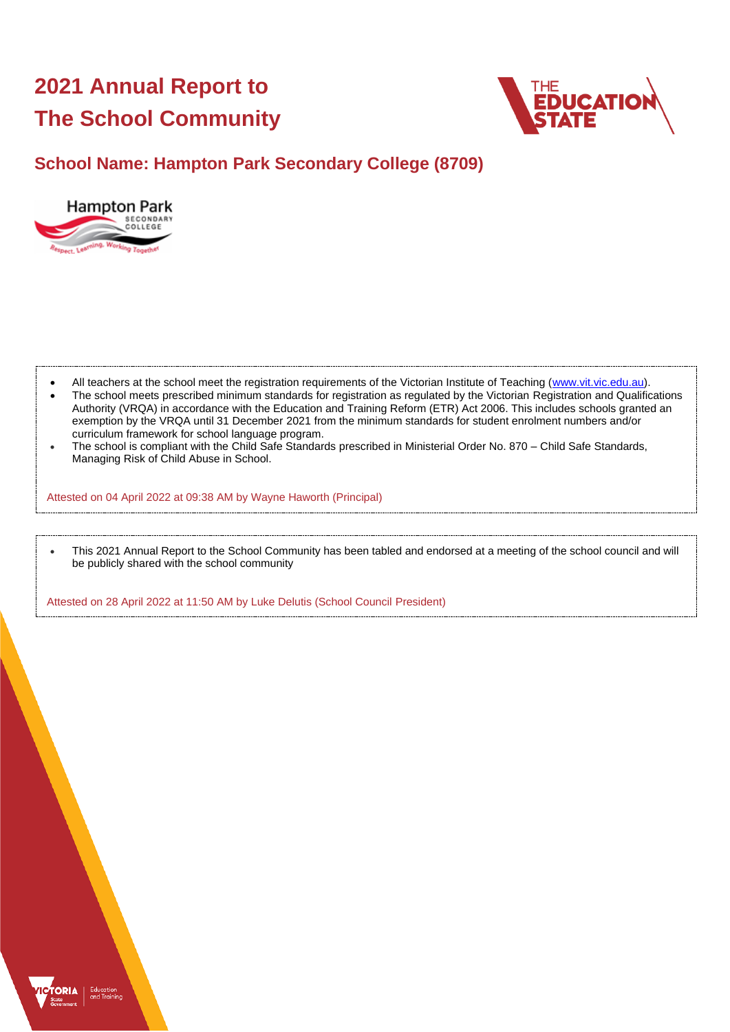# **2021 Annual Report to The School Community**



# **School Name: Hampton Park Secondary College (8709)**



- All teachers at the school meet the registration requirements of the Victorian Institute of Teaching [\(www.vit.vic.edu.au\)](https://www.vit.vic.edu.au/).
- The school meets prescribed minimum standards for registration as regulated by the Victorian Registration and Qualifications Authority (VRQA) in accordance with the Education and Training Reform (ETR) Act 2006. This includes schools granted an exemption by the VRQA until 31 December 2021 from the minimum standards for student enrolment numbers and/or curriculum framework for school language program.
- The school is compliant with the Child Safe Standards prescribed in Ministerial Order No. 870 Child Safe Standards, Managing Risk of Child Abuse in School.

Attested on 04 April 2022 at 09:38 AM by Wayne Haworth (Principal)

• This 2021 Annual Report to the School Community has been tabled and endorsed at a meeting of the school council and will be publicly shared with the school community

Attested on 28 April 2022 at 11:50 AM by Luke Delutis (School Council President)

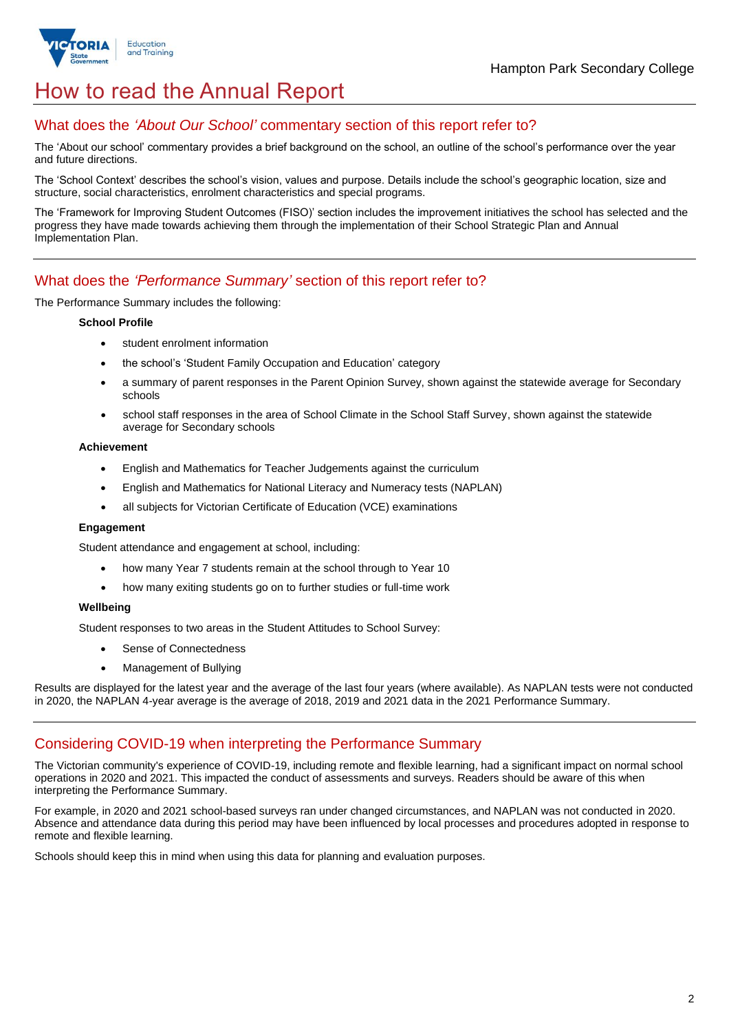

# How to read the Annual Report

## What does the *'About Our School'* commentary section of this report refer to?

The 'About our school' commentary provides a brief background on the school, an outline of the school's performance over the year and future directions.

The 'School Context' describes the school's vision, values and purpose. Details include the school's geographic location, size and structure, social characteristics, enrolment characteristics and special programs.

The 'Framework for Improving Student Outcomes (FISO)' section includes the improvement initiatives the school has selected and the progress they have made towards achieving them through the implementation of their School Strategic Plan and Annual Implementation Plan.

## What does the *'Performance Summary'* section of this report refer to?

The Performance Summary includes the following:

#### **School Profile**

- student enrolment information
- the school's 'Student Family Occupation and Education' category
- a summary of parent responses in the Parent Opinion Survey, shown against the statewide average for Secondary schools
- school staff responses in the area of School Climate in the School Staff Survey, shown against the statewide average for Secondary schools

#### **Achievement**

- English and Mathematics for Teacher Judgements against the curriculum
- English and Mathematics for National Literacy and Numeracy tests (NAPLAN)
- all subjects for Victorian Certificate of Education (VCE) examinations

#### **Engagement**

Student attendance and engagement at school, including:

- how many Year 7 students remain at the school through to Year 10
- how many exiting students go on to further studies or full-time work

#### **Wellbeing**

Student responses to two areas in the Student Attitudes to School Survey:

- Sense of Connectedness
- Management of Bullying

Results are displayed for the latest year and the average of the last four years (where available). As NAPLAN tests were not conducted in 2020, the NAPLAN 4-year average is the average of 2018, 2019 and 2021 data in the 2021 Performance Summary.

### Considering COVID-19 when interpreting the Performance Summary

The Victorian community's experience of COVID-19, including remote and flexible learning, had a significant impact on normal school operations in 2020 and 2021. This impacted the conduct of assessments and surveys. Readers should be aware of this when interpreting the Performance Summary.

For example, in 2020 and 2021 school-based surveys ran under changed circumstances, and NAPLAN was not conducted in 2020. Absence and attendance data during this period may have been influenced by local processes and procedures adopted in response to remote and flexible learning.

Schools should keep this in mind when using this data for planning and evaluation purposes.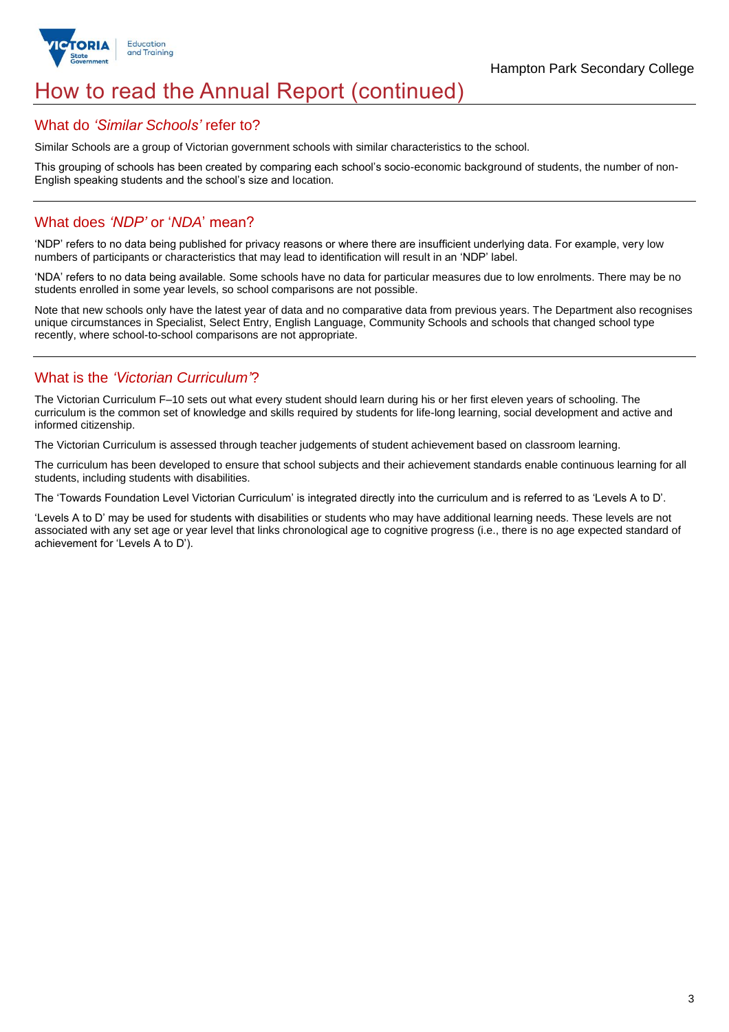

# How to read the Annual Report (continued)

### What do *'Similar Schools'* refer to?

Similar Schools are a group of Victorian government schools with similar characteristics to the school.

This grouping of schools has been created by comparing each school's socio-economic background of students, the number of non-English speaking students and the school's size and location.

### What does *'NDP'* or '*NDA*' mean?

'NDP' refers to no data being published for privacy reasons or where there are insufficient underlying data. For example, very low numbers of participants or characteristics that may lead to identification will result in an 'NDP' label.

'NDA' refers to no data being available. Some schools have no data for particular measures due to low enrolments. There may be no students enrolled in some year levels, so school comparisons are not possible.

Note that new schools only have the latest year of data and no comparative data from previous years. The Department also recognises unique circumstances in Specialist, Select Entry, English Language, Community Schools and schools that changed school type recently, where school-to-school comparisons are not appropriate.

## What is the *'Victorian Curriculum'*?

The Victorian Curriculum F–10 sets out what every student should learn during his or her first eleven years of schooling. The curriculum is the common set of knowledge and skills required by students for life-long learning, social development and active and informed citizenship.

The Victorian Curriculum is assessed through teacher judgements of student achievement based on classroom learning.

The curriculum has been developed to ensure that school subjects and their achievement standards enable continuous learning for all students, including students with disabilities.

The 'Towards Foundation Level Victorian Curriculum' is integrated directly into the curriculum and is referred to as 'Levels A to D'.

'Levels A to D' may be used for students with disabilities or students who may have additional learning needs. These levels are not associated with any set age or year level that links chronological age to cognitive progress (i.e., there is no age expected standard of achievement for 'Levels A to D').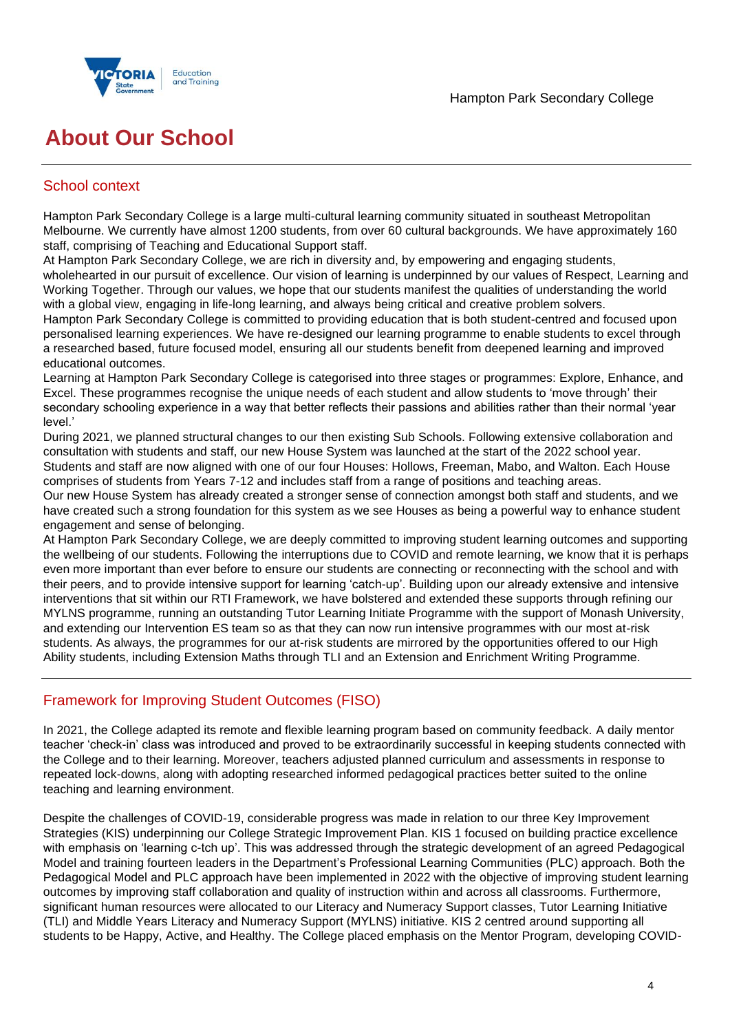

# **About Our School**

## School context

Hampton Park Secondary College is a large multi-cultural learning community situated in southeast Metropolitan Melbourne. We currently have almost 1200 students, from over 60 cultural backgrounds. We have approximately 160 staff, comprising of Teaching and Educational Support staff.

At Hampton Park Secondary College, we are rich in diversity and, by empowering and engaging students, wholehearted in our pursuit of excellence. Our vision of learning is underpinned by our values of Respect, Learning and Working Together. Through our values, we hope that our students manifest the qualities of understanding the world with a global view, engaging in life-long learning, and always being critical and creative problem solvers.

Hampton Park Secondary College is committed to providing education that is both student-centred and focused upon personalised learning experiences. We have re-designed our learning programme to enable students to excel through a researched based, future focused model, ensuring all our students benefit from deepened learning and improved educational outcomes.

Learning at Hampton Park Secondary College is categorised into three stages or programmes: Explore, Enhance, and Excel. These programmes recognise the unique needs of each student and allow students to 'move through' their secondary schooling experience in a way that better reflects their passions and abilities rather than their normal 'year level.'

During 2021, we planned structural changes to our then existing Sub Schools. Following extensive collaboration and consultation with students and staff, our new House System was launched at the start of the 2022 school year. Students and staff are now aligned with one of our four Houses: Hollows, Freeman, Mabo, and Walton. Each House comprises of students from Years 7-12 and includes staff from a range of positions and teaching areas.

Our new House System has already created a stronger sense of connection amongst both staff and students, and we have created such a strong foundation for this system as we see Houses as being a powerful way to enhance student engagement and sense of belonging.

At Hampton Park Secondary College, we are deeply committed to improving student learning outcomes and supporting the wellbeing of our students. Following the interruptions due to COVID and remote learning, we know that it is perhaps even more important than ever before to ensure our students are connecting or reconnecting with the school and with their peers, and to provide intensive support for learning 'catch-up'. Building upon our already extensive and intensive interventions that sit within our RTI Framework, we have bolstered and extended these supports through refining our MYLNS programme, running an outstanding Tutor Learning Initiate Programme with the support of Monash University, and extending our Intervention ES team so as that they can now run intensive programmes with our most at-risk students. As always, the programmes for our at-risk students are mirrored by the opportunities offered to our High Ability students, including Extension Maths through TLI and an Extension and Enrichment Writing Programme.

## Framework for Improving Student Outcomes (FISO)

In 2021, the College adapted its remote and flexible learning program based on community feedback. A daily mentor teacher 'check-in' class was introduced and proved to be extraordinarily successful in keeping students connected with the College and to their learning. Moreover, teachers adjusted planned curriculum and assessments in response to repeated lock-downs, along with adopting researched informed pedagogical practices better suited to the online teaching and learning environment.

Despite the challenges of COVID-19, considerable progress was made in relation to our three Key Improvement Strategies (KIS) underpinning our College Strategic Improvement Plan. KIS 1 focused on building practice excellence with emphasis on 'learning c-tch up'. This was addressed through the strategic development of an agreed Pedagogical Model and training fourteen leaders in the Department's Professional Learning Communities (PLC) approach. Both the Pedagogical Model and PLC approach have been implemented in 2022 with the objective of improving student learning outcomes by improving staff collaboration and quality of instruction within and across all classrooms. Furthermore, significant human resources were allocated to our Literacy and Numeracy Support classes, Tutor Learning Initiative (TLI) and Middle Years Literacy and Numeracy Support (MYLNS) initiative. KIS 2 centred around supporting all students to be Happy, Active, and Healthy. The College placed emphasis on the Mentor Program, developing COVID-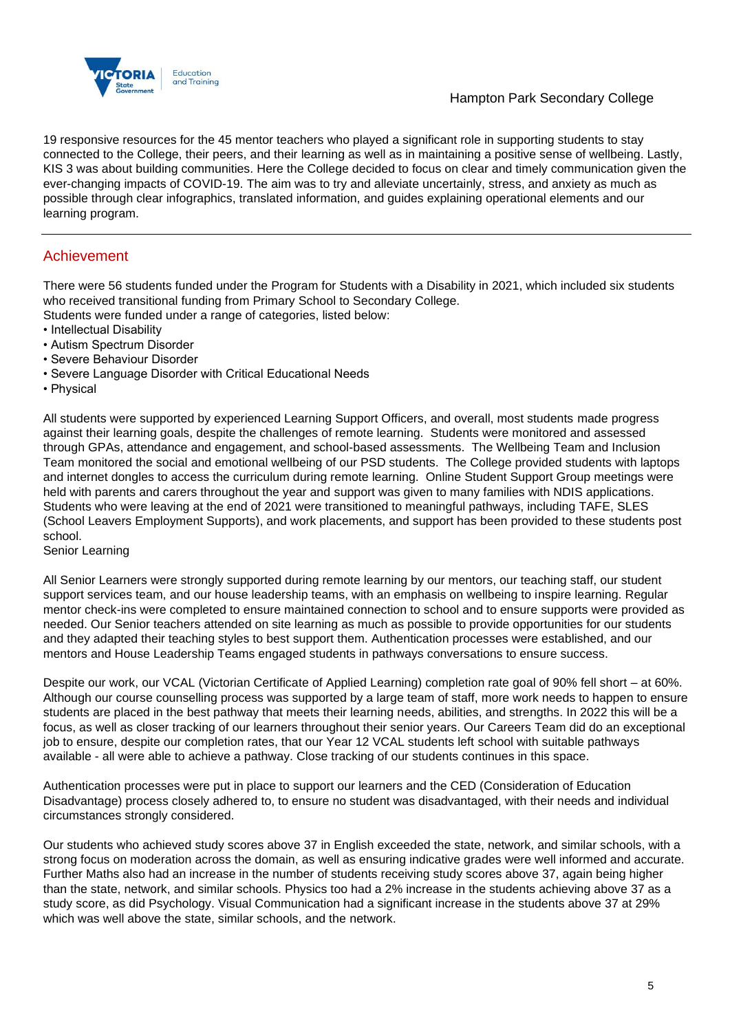

19 responsive resources for the 45 mentor teachers who played a significant role in supporting students to stay connected to the College, their peers, and their learning as well as in maintaining a positive sense of wellbeing. Lastly, KIS 3 was about building communities. Here the College decided to focus on clear and timely communication given the ever-changing impacts of COVID-19. The aim was to try and alleviate uncertainly, stress, and anxiety as much as possible through clear infographics, translated information, and guides explaining operational elements and our learning program.

## Achievement

There were 56 students funded under the Program for Students with a Disability in 2021, which included six students who received transitional funding from Primary School to Secondary College.

- Students were funded under a range of categories, listed below:
- Intellectual Disability
- Autism Spectrum Disorder
- Severe Behaviour Disorder
- Severe Language Disorder with Critical Educational Needs
- Physical

All students were supported by experienced Learning Support Officers, and overall, most students made progress against their learning goals, despite the challenges of remote learning. Students were monitored and assessed through GPAs, attendance and engagement, and school-based assessments. The Wellbeing Team and Inclusion Team monitored the social and emotional wellbeing of our PSD students. The College provided students with laptops and internet dongles to access the curriculum during remote learning. Online Student Support Group meetings were held with parents and carers throughout the year and support was given to many families with NDIS applications. Students who were leaving at the end of 2021 were transitioned to meaningful pathways, including TAFE, SLES (School Leavers Employment Supports), and work placements, and support has been provided to these students post school.

#### Senior Learning

All Senior Learners were strongly supported during remote learning by our mentors, our teaching staff, our student support services team, and our house leadership teams, with an emphasis on wellbeing to inspire learning. Regular mentor check-ins were completed to ensure maintained connection to school and to ensure supports were provided as needed. Our Senior teachers attended on site learning as much as possible to provide opportunities for our students and they adapted their teaching styles to best support them. Authentication processes were established, and our mentors and House Leadership Teams engaged students in pathways conversations to ensure success.

Despite our work, our VCAL (Victorian Certificate of Applied Learning) completion rate goal of 90% fell short – at 60%. Although our course counselling process was supported by a large team of staff, more work needs to happen to ensure students are placed in the best pathway that meets their learning needs, abilities, and strengths. In 2022 this will be a focus, as well as closer tracking of our learners throughout their senior years. Our Careers Team did do an exceptional job to ensure, despite our completion rates, that our Year 12 VCAL students left school with suitable pathways available - all were able to achieve a pathway. Close tracking of our students continues in this space.

Authentication processes were put in place to support our learners and the CED (Consideration of Education Disadvantage) process closely adhered to, to ensure no student was disadvantaged, with their needs and individual circumstances strongly considered.

Our students who achieved study scores above 37 in English exceeded the state, network, and similar schools, with a strong focus on moderation across the domain, as well as ensuring indicative grades were well informed and accurate. Further Maths also had an increase in the number of students receiving study scores above 37, again being higher than the state, network, and similar schools. Physics too had a 2% increase in the students achieving above 37 as a study score, as did Psychology. Visual Communication had a significant increase in the students above 37 at 29% which was well above the state, similar schools, and the network.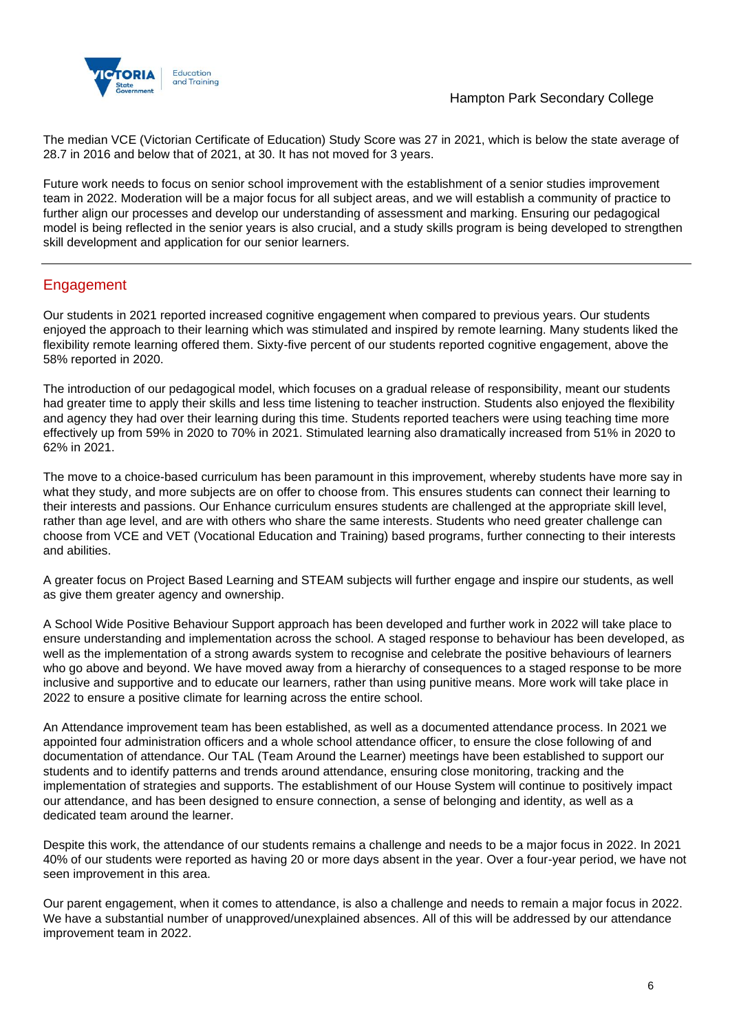



The median VCE (Victorian Certificate of Education) Study Score was 27 in 2021, which is below the state average of 28.7 in 2016 and below that of 2021, at 30. It has not moved for 3 years.

Future work needs to focus on senior school improvement with the establishment of a senior studies improvement team in 2022. Moderation will be a major focus for all subject areas, and we will establish a community of practice to further align our processes and develop our understanding of assessment and marking. Ensuring our pedagogical model is being reflected in the senior years is also crucial, and a study skills program is being developed to strengthen skill development and application for our senior learners.

## Engagement

Our students in 2021 reported increased cognitive engagement when compared to previous years. Our students enjoyed the approach to their learning which was stimulated and inspired by remote learning. Many students liked the flexibility remote learning offered them. Sixty-five percent of our students reported cognitive engagement, above the 58% reported in 2020.

The introduction of our pedagogical model, which focuses on a gradual release of responsibility, meant our students had greater time to apply their skills and less time listening to teacher instruction. Students also enjoyed the flexibility and agency they had over their learning during this time. Students reported teachers were using teaching time more effectively up from 59% in 2020 to 70% in 2021. Stimulated learning also dramatically increased from 51% in 2020 to 62% in 2021.

The move to a choice-based curriculum has been paramount in this improvement, whereby students have more say in what they study, and more subjects are on offer to choose from. This ensures students can connect their learning to their interests and passions. Our Enhance curriculum ensures students are challenged at the appropriate skill level, rather than age level, and are with others who share the same interests. Students who need greater challenge can choose from VCE and VET (Vocational Education and Training) based programs, further connecting to their interests and abilities.

A greater focus on Project Based Learning and STEAM subjects will further engage and inspire our students, as well as give them greater agency and ownership.

A School Wide Positive Behaviour Support approach has been developed and further work in 2022 will take place to ensure understanding and implementation across the school. A staged response to behaviour has been developed, as well as the implementation of a strong awards system to recognise and celebrate the positive behaviours of learners who go above and beyond. We have moved away from a hierarchy of consequences to a staged response to be more inclusive and supportive and to educate our learners, rather than using punitive means. More work will take place in 2022 to ensure a positive climate for learning across the entire school.

An Attendance improvement team has been established, as well as a documented attendance process. In 2021 we appointed four administration officers and a whole school attendance officer, to ensure the close following of and documentation of attendance. Our TAL (Team Around the Learner) meetings have been established to support our students and to identify patterns and trends around attendance, ensuring close monitoring, tracking and the implementation of strategies and supports. The establishment of our House System will continue to positively impact our attendance, and has been designed to ensure connection, a sense of belonging and identity, as well as a dedicated team around the learner.

Despite this work, the attendance of our students remains a challenge and needs to be a major focus in 2022. In 2021 40% of our students were reported as having 20 or more days absent in the year. Over a four-year period, we have not seen improvement in this area.

Our parent engagement, when it comes to attendance, is also a challenge and needs to remain a major focus in 2022. We have a substantial number of unapproved/unexplained absences. All of this will be addressed by our attendance improvement team in 2022.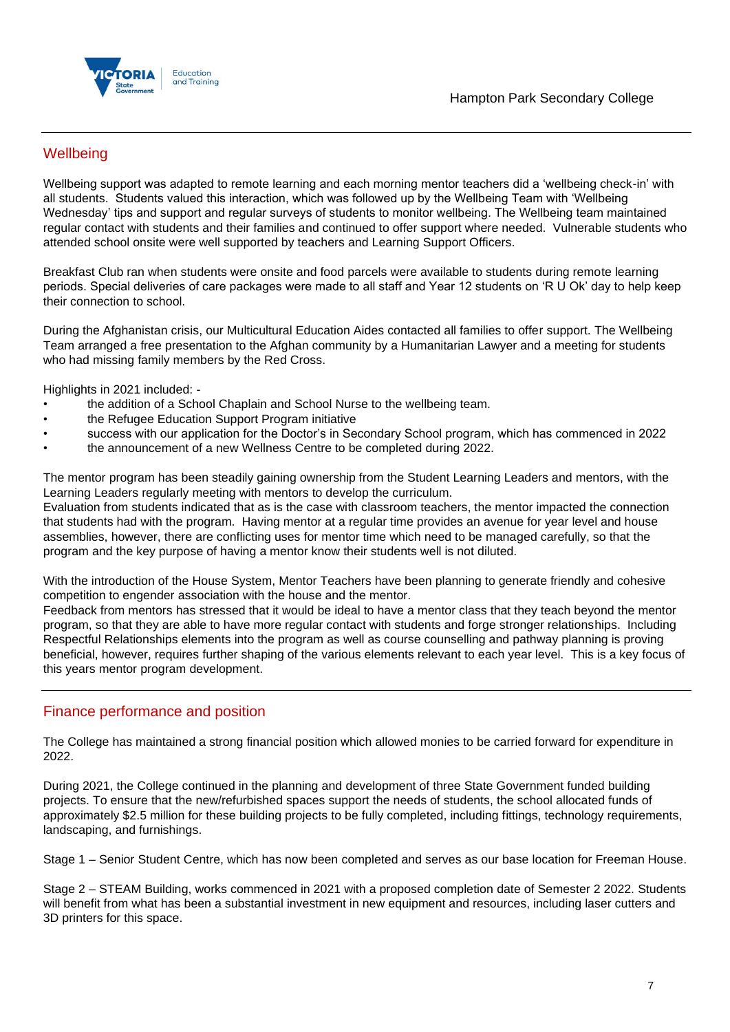

## **Wellbeing**

Wellbeing support was adapted to remote learning and each morning mentor teachers did a 'wellbeing check-in' with all students. Students valued this interaction, which was followed up by the Wellbeing Team with 'Wellbeing Wednesday' tips and support and regular surveys of students to monitor wellbeing. The Wellbeing team maintained regular contact with students and their families and continued to offer support where needed. Vulnerable students who attended school onsite were well supported by teachers and Learning Support Officers.

Breakfast Club ran when students were onsite and food parcels were available to students during remote learning periods. Special deliveries of care packages were made to all staff and Year 12 students on 'R U Ok' day to help keep their connection to school.

During the Afghanistan crisis, our Multicultural Education Aides contacted all families to offer support. The Wellbeing Team arranged a free presentation to the Afghan community by a Humanitarian Lawyer and a meeting for students who had missing family members by the Red Cross.

Highlights in 2021 included: -

- the addition of a School Chaplain and School Nurse to the wellbeing team.
- the Refugee Education Support Program initiative
- success with our application for the Doctor's in Secondary School program, which has commenced in 2022
- the announcement of a new Wellness Centre to be completed during 2022.

The mentor program has been steadily gaining ownership from the Student Learning Leaders and mentors, with the Learning Leaders regularly meeting with mentors to develop the curriculum.

Evaluation from students indicated that as is the case with classroom teachers, the mentor impacted the connection that students had with the program. Having mentor at a regular time provides an avenue for year level and house assemblies, however, there are conflicting uses for mentor time which need to be managed carefully, so that the program and the key purpose of having a mentor know their students well is not diluted.

With the introduction of the House System, Mentor Teachers have been planning to generate friendly and cohesive competition to engender association with the house and the mentor.

Feedback from mentors has stressed that it would be ideal to have a mentor class that they teach beyond the mentor program, so that they are able to have more regular contact with students and forge stronger relationships. Including Respectful Relationships elements into the program as well as course counselling and pathway planning is proving beneficial, however, requires further shaping of the various elements relevant to each year level. This is a key focus of this years mentor program development.

### Finance performance and position

The College has maintained a strong financial position which allowed monies to be carried forward for expenditure in 2022.

During 2021, the College continued in the planning and development of three State Government funded building projects. To ensure that the new/refurbished spaces support the needs of students, the school allocated funds of approximately \$2.5 million for these building projects to be fully completed, including fittings, technology requirements, landscaping, and furnishings.

Stage 1 – Senior Student Centre, which has now been completed and serves as our base location for Freeman House.

Stage 2 – STEAM Building, works commenced in 2021 with a proposed completion date of Semester 2 2022. Students will benefit from what has been a substantial investment in new equipment and resources, including laser cutters and 3D printers for this space.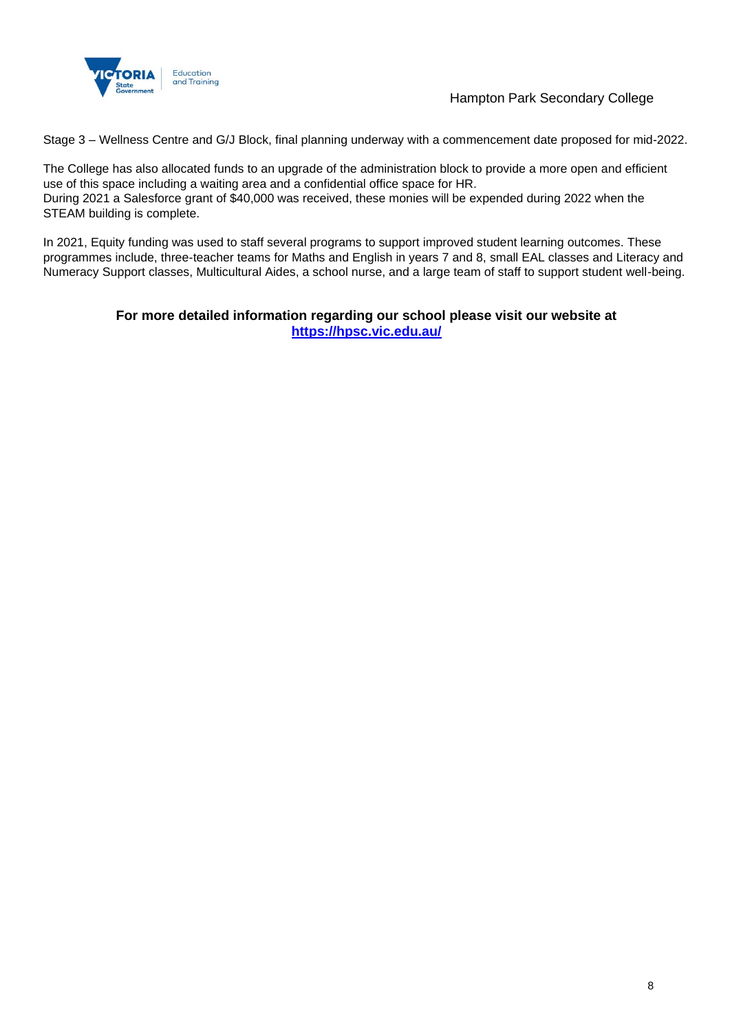

Hampton Park Secondary College

Stage 3 – Wellness Centre and G/J Block, final planning underway with a commencement date proposed for mid-2022.

The College has also allocated funds to an upgrade of the administration block to provide a more open and efficient use of this space including a waiting area and a confidential office space for HR. During 2021 a Salesforce grant of \$40,000 was received, these monies will be expended during 2022 when the STEAM building is complete.

In 2021, Equity funding was used to staff several programs to support improved student learning outcomes. These programmes include, three-teacher teams for Maths and English in years 7 and 8, small EAL classes and Literacy and Numeracy Support classes, Multicultural Aides, a school nurse, and a large team of staff to support student well-being.

### **For more detailed information regarding our school please visit our website at <https://hpsc.vic.edu.au/>**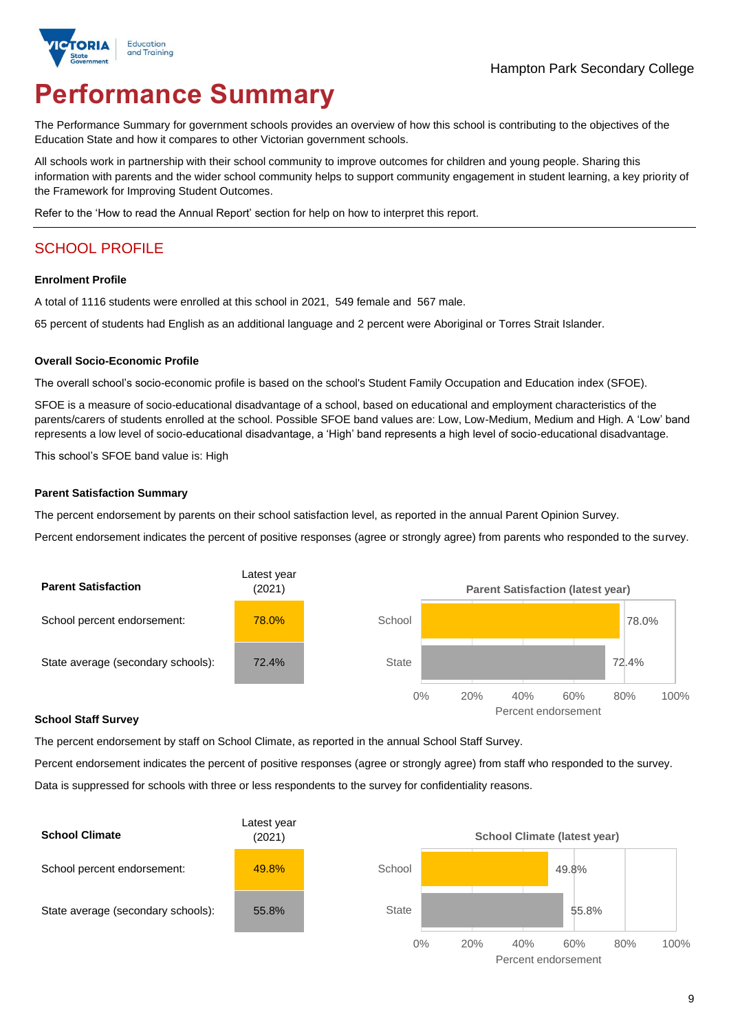

# **Performance Summary**

The Performance Summary for government schools provides an overview of how this school is contributing to the objectives of the Education State and how it compares to other Victorian government schools.

All schools work in partnership with their school community to improve outcomes for children and young people. Sharing this information with parents and the wider school community helps to support community engagement in student learning, a key priority of the Framework for Improving Student Outcomes.

Refer to the 'How to read the Annual Report' section for help on how to interpret this report.

## SCHOOL PROFILE

#### **Enrolment Profile**

A total of 1116 students were enrolled at this school in 2021, 549 female and 567 male.

65 percent of students had English as an additional language and 2 percent were Aboriginal or Torres Strait Islander.

#### **Overall Socio-Economic Profile**

The overall school's socio-economic profile is based on the school's Student Family Occupation and Education index (SFOE).

SFOE is a measure of socio-educational disadvantage of a school, based on educational and employment characteristics of the parents/carers of students enrolled at the school. Possible SFOE band values are: Low, Low-Medium, Medium and High. A 'Low' band represents a low level of socio-educational disadvantage, a 'High' band represents a high level of socio-educational disadvantage.

This school's SFOE band value is: High

#### **Parent Satisfaction Summary**

The percent endorsement by parents on their school satisfaction level, as reported in the annual Parent Opinion Survey.

Percent endorsement indicates the percent of positive responses (agree or strongly agree) from parents who responded to the survey.



#### **School Staff Survey**

The percent endorsement by staff on School Climate, as reported in the annual School Staff Survey.

Percent endorsement indicates the percent of positive responses (agree or strongly agree) from staff who responded to the survey. Data is suppressed for schools with three or less respondents to the survey for confidentiality reasons.

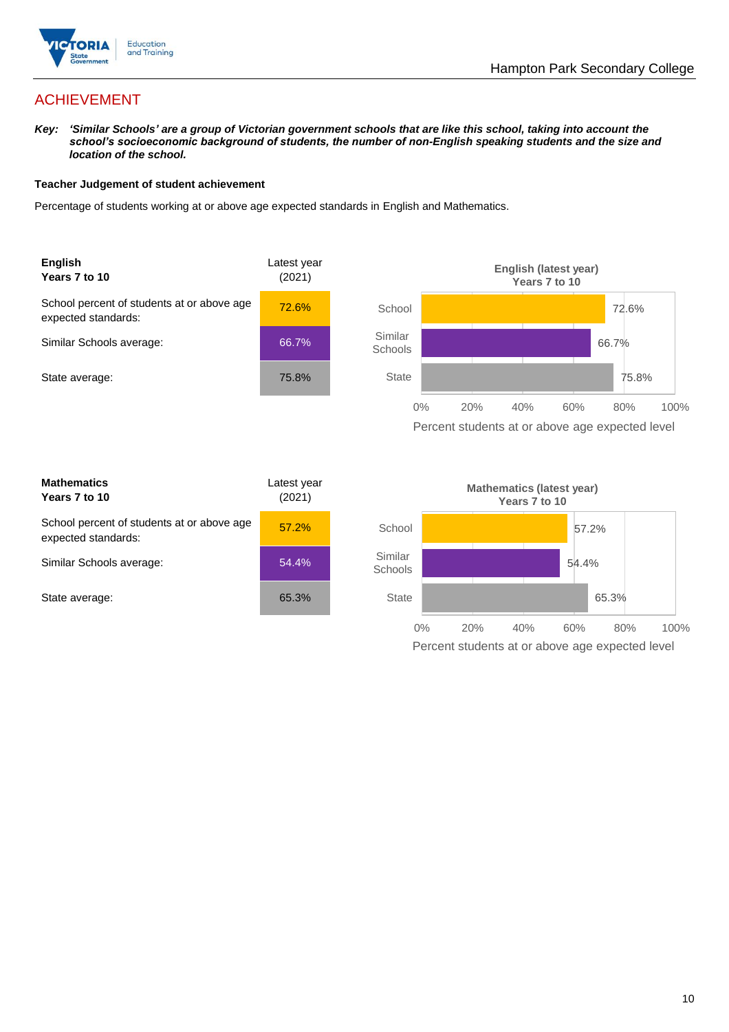

## ACHIEVEMENT

*Key: 'Similar Schools' are a group of Victorian government schools that are like this school, taking into account the school's socioeconomic background of students, the number of non-English speaking students and the size and location of the school.*

#### **Teacher Judgement of student achievement**

Percentage of students working at or above age expected standards in English and Mathematics.



| <b>Mathematics</b><br>Years 7 to 10                               | Latest year<br>(2021) |  |
|-------------------------------------------------------------------|-----------------------|--|
| School percent of students at or above age<br>expected standards: | 57.2%                 |  |
| Similar Schools average:                                          | 54.4%                 |  |
| State average:                                                    | 65.3%                 |  |

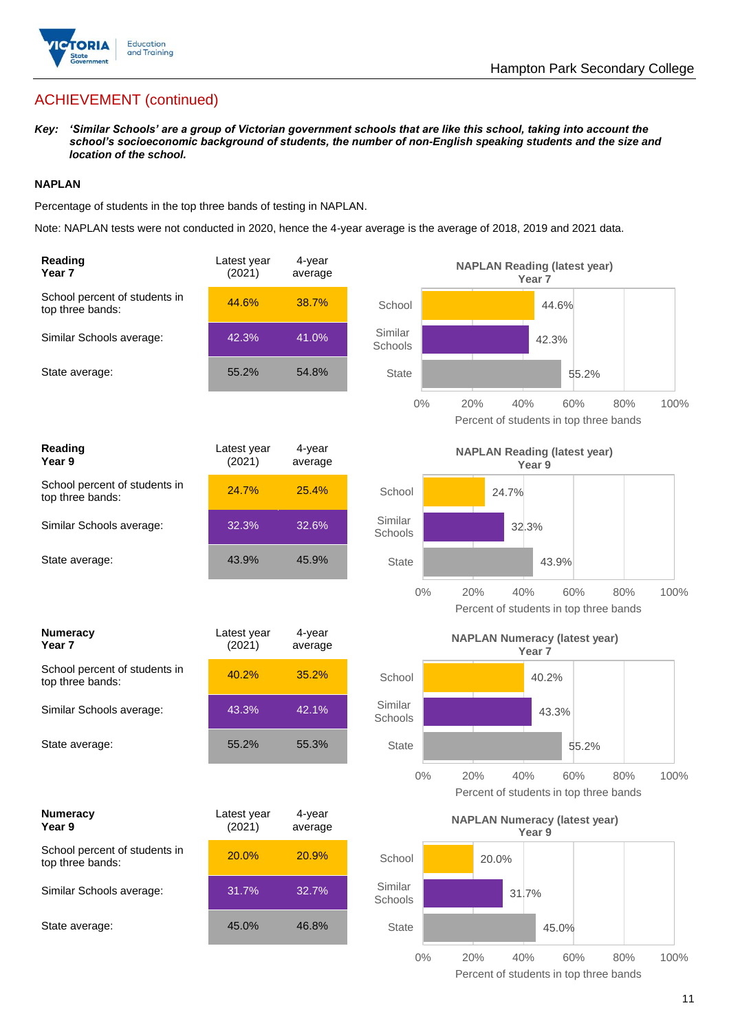

## ACHIEVEMENT (continued)

*Key: 'Similar Schools' are a group of Victorian government schools that are like this school, taking into account the school's socioeconomic background of students, the number of non-English speaking students and the size and location of the school.*

#### **NAPLAN**

Percentage of students in the top three bands of testing in NAPLAN.

Note: NAPLAN tests were not conducted in 2020, hence the 4-year average is the average of 2018, 2019 and 2021 data.

| Reading<br>Year 7                                 | Latest year<br>(2021) | 4-year<br>average | <b>NAPLAN Reading (latest year)</b><br>Year <sub>7</sub>                            |
|---------------------------------------------------|-----------------------|-------------------|-------------------------------------------------------------------------------------|
| School percent of students in<br>top three bands: | 44.6%                 | 38.7%             | School<br>44.6%                                                                     |
| Similar Schools average:                          | 42.3%                 | 41.0%             | Similar<br>42.3%<br>Schools                                                         |
| State average:                                    | 55.2%                 | 54.8%             | <b>State</b><br>55.2%                                                               |
|                                                   |                       |                   | $0\%$<br>20%<br>40%<br>60%<br>80%<br>100%<br>Percent of students in top three bands |
| <b>Reading</b><br>Year 9                          | Latest year<br>(2021) | 4-year<br>average | <b>NAPLAN Reading (latest year)</b><br>Year 9                                       |
| School percent of students in<br>top three bands: | 24.7%                 | 25.4%             | School<br>24.7%                                                                     |
| Similar Schools average:                          | 32.3%                 | 32.6%             | Similar<br>32.3%<br>Schools                                                         |
| State average:                                    | 43.9%                 | 45.9%             | <b>State</b><br>43.9%                                                               |
|                                                   |                       |                   | $0\%$<br>20%<br>60%<br>80%<br>100%<br>40%<br>Percent of students in top three bands |
| <b>Numeracy</b><br>Year <sub>7</sub>              | Latest year<br>(2021) | 4-year<br>average | <b>NAPLAN Numeracy (latest year)</b><br>Year <sub>7</sub>                           |
|                                                   |                       |                   |                                                                                     |
| School percent of students in<br>top three bands: | 40.2%                 | 35.2%             | School<br>40.2%                                                                     |
| Similar Schools average:                          | 43.3%                 | 42.1%             | Similar<br>43.3%<br>Schools                                                         |
| State average:                                    | 55.2%                 | 55.3%             | <b>State</b><br>55.2%                                                               |
|                                                   |                       |                   | $0\%$<br>40%<br>100%<br>20%<br>60%<br>80%<br>Percent of students in top three bands |
| <b>Numeracy</b><br>Year 9                         | Latest year<br>(2021) | 4-year<br>average | <b>NAPLAN Numeracy (latest year)</b><br>Year 9                                      |
| School percent of students in<br>top three bands: | 20.0%                 | 20.9%             | School<br>20.0%                                                                     |
| Similar Schools average:                          | 31.7%                 | 32.7%             | Similar<br>31.7%<br>Schools                                                         |
| State average:                                    | 45.0%                 | 46.8%             | <b>State</b><br>45.0%                                                               |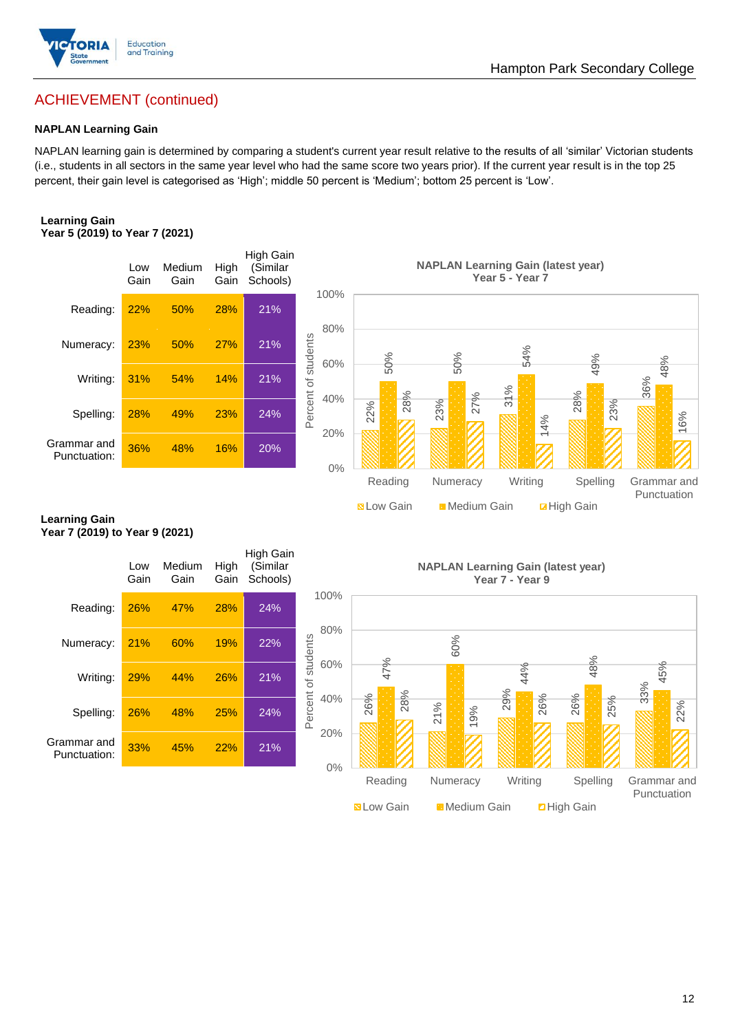

# Hampton Park Secondary College

# ACHIEVEMENT (continued)

#### **NAPLAN Learning Gain**

NAPLAN learning gain is determined by comparing a student's current year result relative to the results of all 'similar' Victorian students (i.e., students in all sectors in the same year level who had the same score two years prior). If the current year result is in the top 25 percent, their gain level is categorised as 'High'; middle 50 percent is 'Medium'; bottom 25 percent is 'Low'.

#### **Learning Gain Year 5 (2019) to Year 7 (2021)**



#### **Learning Gain Year 7 (2019) to Year 9 (2021)**

|                                                        |             |                |              |                                          |                            |                   |                                           | 31%             |                    |
|--------------------------------------------------------|-------------|----------------|--------------|------------------------------------------|----------------------------|-------------------|-------------------------------------------|-----------------|--------------------|
| Spelling:                                              | 28%         | 49%            | 23%          | 24%                                      | Percent<br>40%             | 28%<br>22%        | 27%<br>23%                                | 14%             | 28%<br>23%         |
| Grammar and<br>Punctuation:                            | 36%         | 48%            | 16%          | 20%                                      | 20%<br>0%                  |                   |                                           |                 |                    |
|                                                        |             |                |              |                                          |                            | Reading           | Numeracy                                  | Writing         | Spelling           |
|                                                        |             |                |              |                                          |                            | <b>N</b> Low Gain | Medium Gain                               |                 | <b>Z</b> High Gain |
| <b>Learning Gain</b><br>Year 7 (2019) to Year 9 (2021) |             |                |              |                                          |                            |                   |                                           |                 |                    |
|                                                        | Low<br>Gain | Medium<br>Gain | High<br>Gain | <b>High Gain</b><br>(Similar<br>Schools) |                            |                   | <b>NAPLAN Learning Gain (latest year)</b> | Year 7 - Year 9 |                    |
| Reading:                                               | 26%         | 47%            | 28%          | 24%                                      | 100%                       |                   |                                           |                 |                    |
| Numeracy:                                              | 21%         | 60%            | 19%          | 22%                                      | 80%                        |                   | 60%                                       |                 |                    |
| Writing:                                               | 29%         | 44%            | 26%          | 21%                                      | Percent of students<br>60% | 47%               |                                           | 44%             | 48%                |
| Spelling:                                              | 26%         | 48%            | 25%          | 24%                                      | 40%                        | 28%<br>26%        | 21%<br>19%                                | 29%<br>26%      | 26%<br>25%         |
| Grammar and<br>Punctuation:                            | 33%         | 45%            | 22%          | 21%                                      | 20%<br>0%                  |                   |                                           |                 |                    |
|                                                        |             |                |              |                                          |                            | Reading           | Numeracy                                  | Writing         | Spelling           |
|                                                        |             |                |              |                                          |                            | <b>N</b> Low Gain | <b>Medium Gain</b>                        |                 | <b>D</b> High Gain |

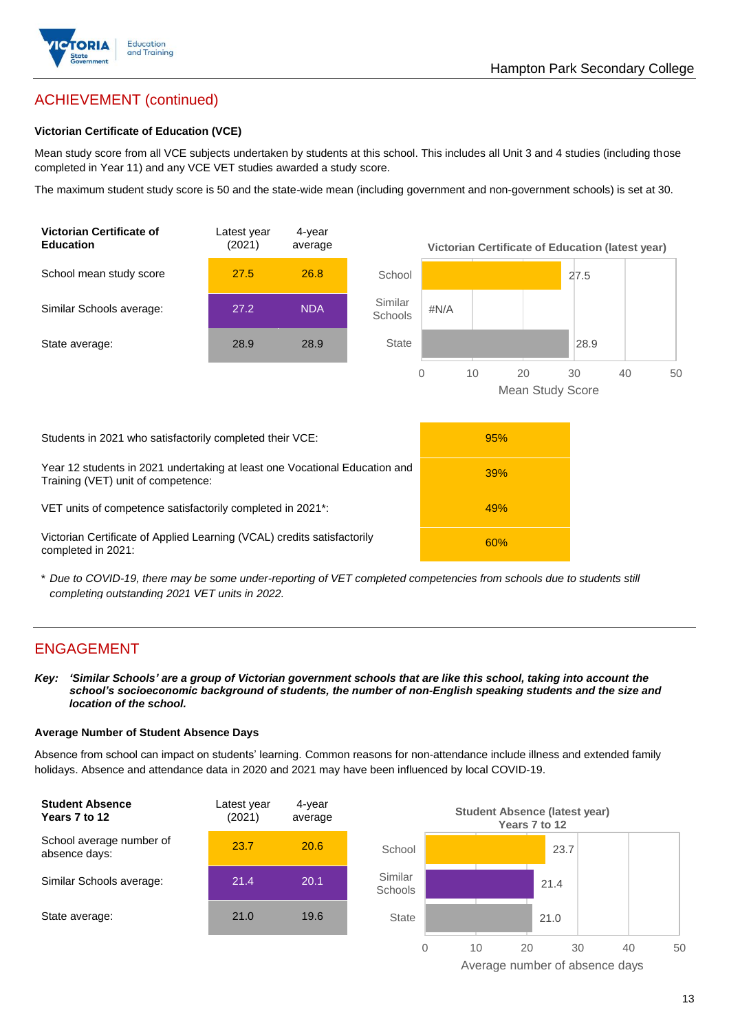

## ACHIEVEMENT (continued)

#### **Victorian Certificate of Education (VCE)**

Mean study score from all VCE subjects undertaken by students at this school. This includes all Unit 3 and 4 studies (including those completed in Year 11) and any VCE VET studies awarded a study score.

The maximum student study score is 50 and the state-wide mean (including government and non-government schools) is set at 30.



\* *Due to COVID-19, there may be some under-reporting of VET completed competencies from schools due to students still completing outstanding 2021 VET units in 2022.*

### ENGAGEMENT

*Key: 'Similar Schools' are a group of Victorian government schools that are like this school, taking into account the school's socioeconomic background of students, the number of non-English speaking students and the size and location of the school.*

#### **Average Number of Student Absence Days**

Absence from school can impact on students' learning. Common reasons for non-attendance include illness and extended family holidays. Absence and attendance data in 2020 and 2021 may have been influenced by local COVID-19.



Average number of absence days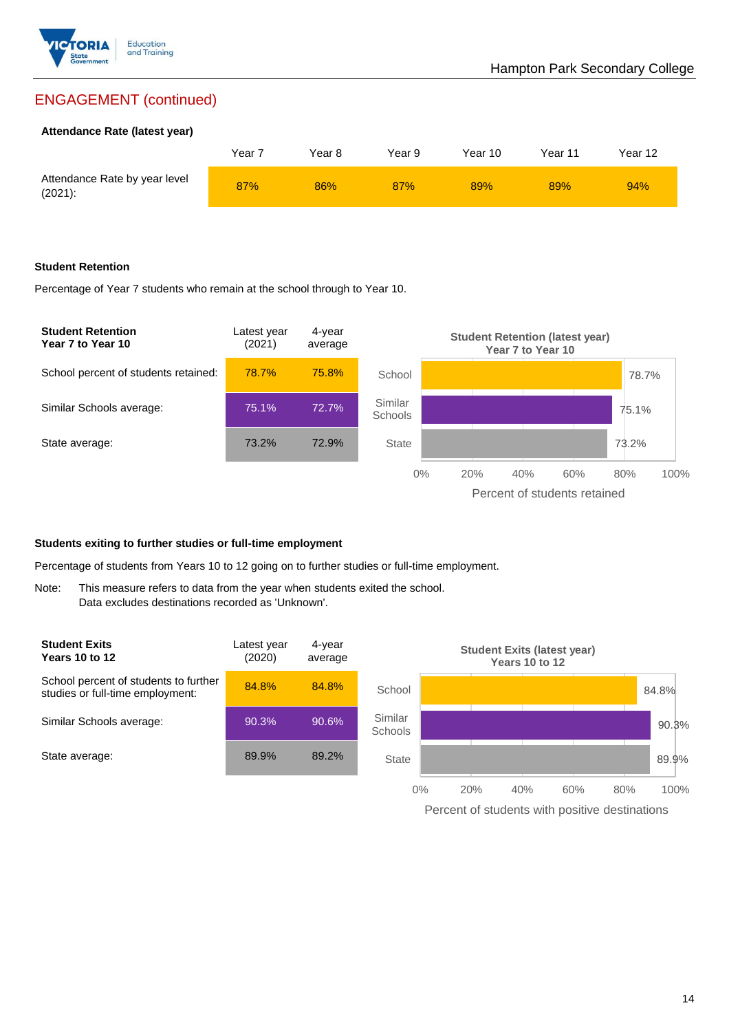

## ENGAGEMENT (continued)

#### **Attendance Rate (latest year)**

|                                             | Year 7 | Year 8 | Year 9 | Year 10 | Year 11 | Year 12 |
|---------------------------------------------|--------|--------|--------|---------|---------|---------|
| Attendance Rate by year level<br>$(2021)$ : | 87%    | 86%    | 87%    | 89%     | 89%     | 94%     |

#### **Student Retention**

Percentage of Year 7 students who remain at the school through to Year 10.



#### **Students exiting to further studies or full-time employment**

Percentage of students from Years 10 to 12 going on to further studies or full-time employment.

Note: This measure refers to data from the year when students exited the school. Data excludes destinations recorded as 'Unknown'.



Percent of students with positive destinations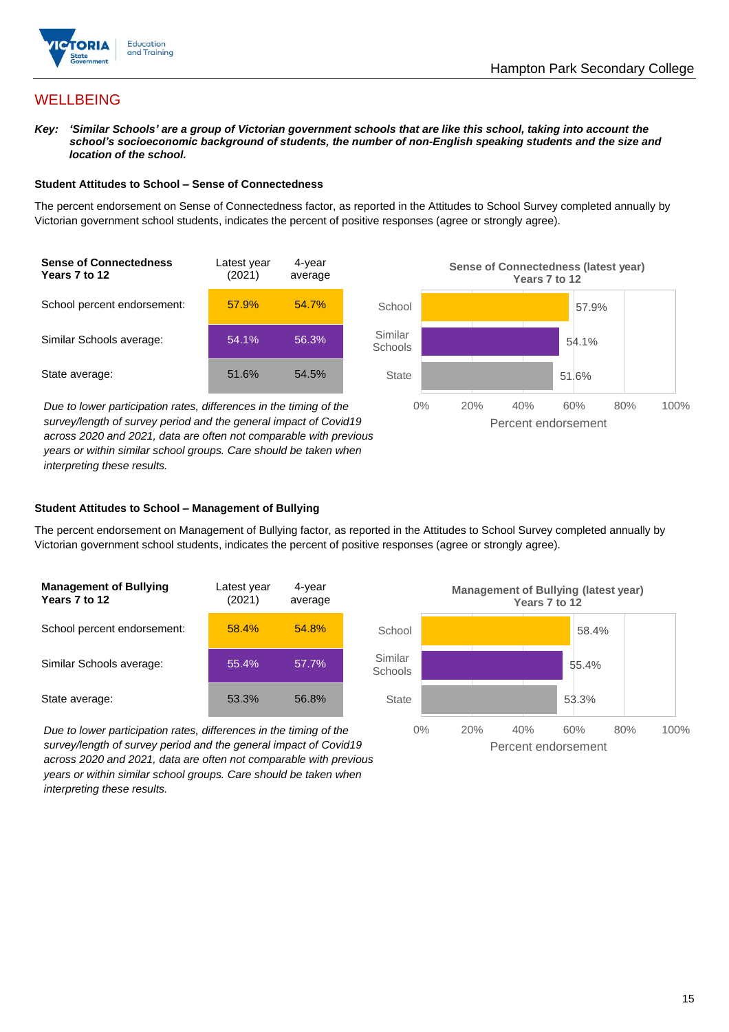

## **WELLBEING**

*Key: 'Similar Schools' are a group of Victorian government schools that are like this school, taking into account the school's socioeconomic background of students, the number of non-English speaking students and the size and location of the school.*

#### **Student Attitudes to School – Sense of Connectedness**

The percent endorsement on Sense of Connectedness factor, as reported in the Attitudes to School Survey completed annually by Victorian government school students, indicates the percent of positive responses (agree or strongly agree).



*Due to lower participation rates, differences in the timing of the survey/length of survey period and the general impact of Covid19 across 2020 and 2021, data are often not comparable with previous years or within similar school groups. Care should be taken when interpreting these results.*



#### **Student Attitudes to School – Management of Bullying**

The percent endorsement on Management of Bullying factor, as reported in the Attitudes to School Survey completed annually by Victorian government school students, indicates the percent of positive responses (agree or strongly agree).

| <b>Management of Bullying</b><br>Years 7 to 12 | Latest year<br>(2021) | 4-year<br>average |  |
|------------------------------------------------|-----------------------|-------------------|--|
| School percent endorsement:                    | 58.4%                 | 54.8%             |  |
| Similar Schools average:                       | 55.4%                 | $57.7\%$          |  |
| State average:                                 | 53.3%                 | 56.8%             |  |

*Due to lower participation rates, differences in the timing of the survey/length of survey period and the general impact of Covid19 across 2020 and 2021, data are often not comparable with previous years or within similar school groups. Care should be taken when interpreting these results.*

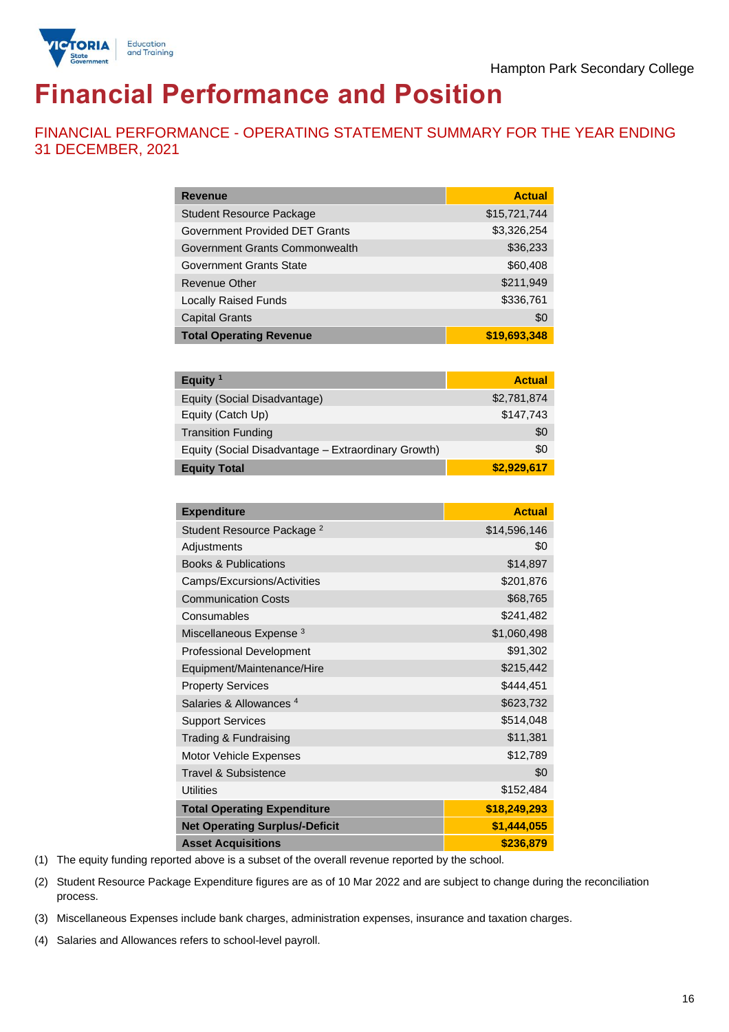

# **Financial Performance and Position**

FINANCIAL PERFORMANCE - OPERATING STATEMENT SUMMARY FOR THE YEAR ENDING 31 DECEMBER, 2021

| <b>Revenue</b>                  | <b>Actual</b> |
|---------------------------------|---------------|
| <b>Student Resource Package</b> | \$15,721,744  |
| Government Provided DET Grants  | \$3,326,254   |
| Government Grants Commonwealth  | \$36,233      |
| Government Grants State         | \$60,408      |
| Revenue Other                   | \$211,949     |
| <b>Locally Raised Funds</b>     | \$336,761     |
| <b>Capital Grants</b>           | \$0           |
| <b>Total Operating Revenue</b>  | \$19,693,348  |

| Equity $1$                                          | <b>Actual</b> |
|-----------------------------------------------------|---------------|
| Equity (Social Disadvantage)                        | \$2,781,874   |
| Equity (Catch Up)                                   | \$147,743     |
| <b>Transition Funding</b>                           | \$0           |
| Equity (Social Disadvantage - Extraordinary Growth) | \$0           |
| <b>Equity Total</b>                                 | \$2,929,617   |

| <b>Expenditure</b>                    | <b>Actual</b> |
|---------------------------------------|---------------|
| Student Resource Package <sup>2</sup> | \$14,596,146  |
| Adjustments                           | \$0           |
| <b>Books &amp; Publications</b>       | \$14,897      |
| Camps/Excursions/Activities           | \$201,876     |
| <b>Communication Costs</b>            | \$68,765      |
| Consumables                           | \$241,482     |
| Miscellaneous Expense <sup>3</sup>    | \$1,060,498   |
| <b>Professional Development</b>       | \$91,302      |
| Equipment/Maintenance/Hire            | \$215,442     |
| <b>Property Services</b>              | \$444,451     |
| Salaries & Allowances <sup>4</sup>    | \$623,732     |
| <b>Support Services</b>               | \$514,048     |
| Trading & Fundraising                 | \$11,381      |
| Motor Vehicle Expenses                | \$12,789      |
| Travel & Subsistence                  | \$0           |
| <b>Utilities</b>                      | \$152,484     |
| <b>Total Operating Expenditure</b>    | \$18,249,293  |
| <b>Net Operating Surplus/-Deficit</b> | \$1,444,055   |
| <b>Asset Acquisitions</b>             | \$236,879     |

(1) The equity funding reported above is a subset of the overall revenue reported by the school.

(2) Student Resource Package Expenditure figures are as of 10 Mar 2022 and are subject to change during the reconciliation process.

(3) Miscellaneous Expenses include bank charges, administration expenses, insurance and taxation charges.

(4) Salaries and Allowances refers to school-level payroll.